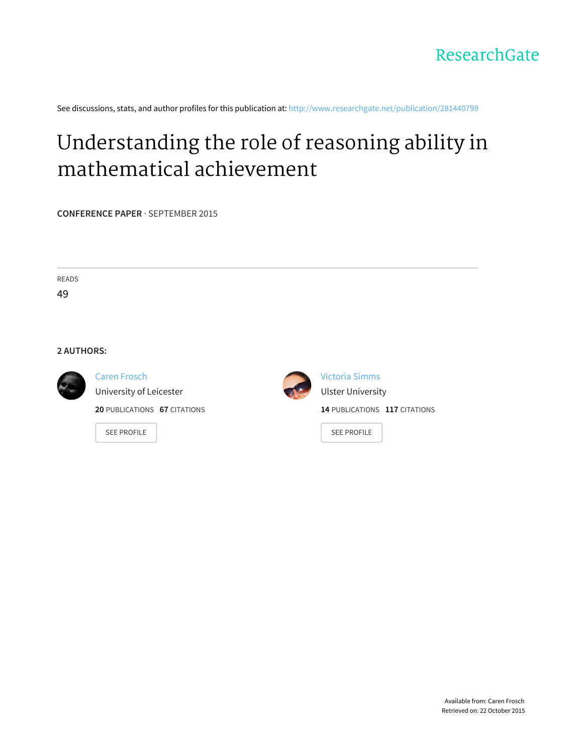

See discussions, stats, and author profiles for this publication at: [http://www.researchgate.net/publication/281440799](http://www.researchgate.net/publication/281440799_Understanding_the_role_of_reasoning_ability_in_mathematical_achievement?enrichId=rgreq-8efd8c6b-8cec-4ad0-84ca-784a2634f213&enrichSource=Y292ZXJQYWdlOzI4MTQ0MDc5OTtBUzoyNjkyNTQyNTU3MDYxMTNAMTQ0MTIwNjYyNTMzMA%3D%3D&el=1_x_2)

# [Understanding](http://www.researchgate.net/publication/281440799_Understanding_the_role_of_reasoning_ability_in_mathematical_achievement?enrichId=rgreq-8efd8c6b-8cec-4ad0-84ca-784a2634f213&enrichSource=Y292ZXJQYWdlOzI4MTQ0MDc5OTtBUzoyNjkyNTQyNTU3MDYxMTNAMTQ0MTIwNjYyNTMzMA%3D%3D&el=1_x_3) the role of reasoning ability in mathematical achievement

**CONFERENCE PAPER** · SEPTEMBER 2015

READS 49

**2 AUTHORS:**



#### Caren [Frosch](http://www.researchgate.net/profile/Caren_Frosch?enrichId=rgreq-8efd8c6b-8cec-4ad0-84ca-784a2634f213&enrichSource=Y292ZXJQYWdlOzI4MTQ0MDc5OTtBUzoyNjkyNTQyNTU3MDYxMTNAMTQ0MTIwNjYyNTMzMA%3D%3D&el=1_x_5)

[University](http://www.researchgate.net/institution/University_of_Leicester?enrichId=rgreq-8efd8c6b-8cec-4ad0-84ca-784a2634f213&enrichSource=Y292ZXJQYWdlOzI4MTQ0MDc5OTtBUzoyNjkyNTQyNTU3MDYxMTNAMTQ0MTIwNjYyNTMzMA%3D%3D&el=1_x_6) of Leicester

**20** PUBLICATIONS **67** CITATIONS

SEE [PROFILE](http://www.researchgate.net/profile/Caren_Frosch?enrichId=rgreq-8efd8c6b-8cec-4ad0-84ca-784a2634f213&enrichSource=Y292ZXJQYWdlOzI4MTQ0MDc5OTtBUzoyNjkyNTQyNTU3MDYxMTNAMTQ0MTIwNjYyNTMzMA%3D%3D&el=1_x_7)



[Victoria](http://www.researchgate.net/profile/Victoria_Simms2?enrichId=rgreq-8efd8c6b-8cec-4ad0-84ca-784a2634f213&enrichSource=Y292ZXJQYWdlOzI4MTQ0MDc5OTtBUzoyNjkyNTQyNTU3MDYxMTNAMTQ0MTIwNjYyNTMzMA%3D%3D&el=1_x_5) Simms Ulster [University](http://www.researchgate.net/institution/Ulster_University?enrichId=rgreq-8efd8c6b-8cec-4ad0-84ca-784a2634f213&enrichSource=Y292ZXJQYWdlOzI4MTQ0MDc5OTtBUzoyNjkyNTQyNTU3MDYxMTNAMTQ0MTIwNjYyNTMzMA%3D%3D&el=1_x_6)

**14** PUBLICATIONS **117** CITATIONS

SEE [PROFILE](http://www.researchgate.net/profile/Victoria_Simms2?enrichId=rgreq-8efd8c6b-8cec-4ad0-84ca-784a2634f213&enrichSource=Y292ZXJQYWdlOzI4MTQ0MDc5OTtBUzoyNjkyNTQyNTU3MDYxMTNAMTQ0MTIwNjYyNTMzMA%3D%3D&el=1_x_7)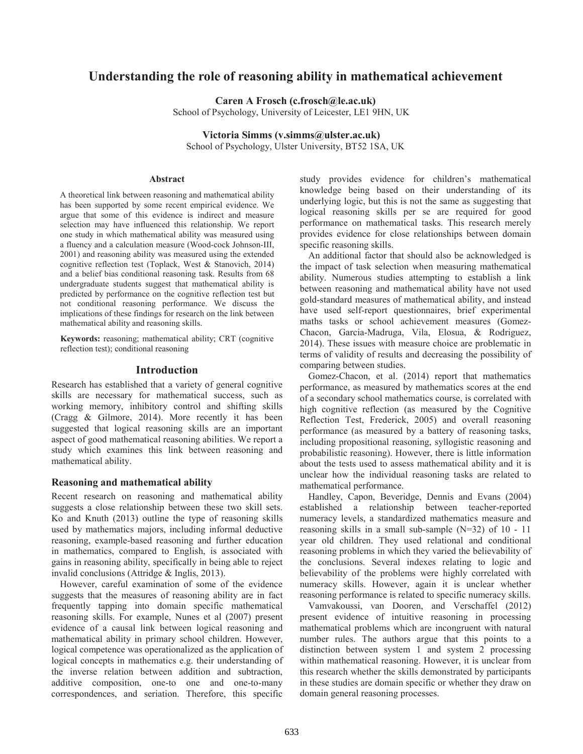# **Understanding the role of reasoning ability in mathematical achievement**

**Caren A Frosch (c.frosch@le.ac.uk)** School of Psychology, University of Leicester, LE1 9HN, UK

**Victoria Simms (v.simms@ulster.ac.uk)** School of Psychology, Ulster University, BT52 1SA, UK

#### **Abstract**

A theoretical link between reasoning and mathematical ability has been supported by some recent empirical evidence. We argue that some of this evidence is indirect and measure selection may have influenced this relationship. We report one study in which mathematical ability was measured using a fluency and a calculation measure (Wood-cock Johnson-III, 2001) and reasoning ability was measured using the extended cognitive reflection test (Toplack, West & Stanovich, 2014) and a belief bias conditional reasoning task. Results from 68 undergraduate students suggest that mathematical ability is predicted by performance on the cognitive reflection test but not conditional reasoning performance. We discuss the implications of these findings for research on the link between mathematical ability and reasoning skills.

**Keywords:** reasoning; mathematical ability; CRT (cognitive reflection test); conditional reasoning

## **Introduction**

Research has established that a variety of general cognitive skills are necessary for mathematical success, such as working memory, inhibitory control and shifting skills (Cragg & Gilmore, 2014). More recently it has been suggested that logical reasoning skills are an important aspect of good mathematical reasoning abilities. We report a study which examines this link between reasoning and mathematical ability.

## **Reasoning and mathematical ability**

Recent research on reasoning and mathematical ability suggests a close relationship between these two skill sets. Ko and Knuth (2013) outline the type of reasoning skills used by mathematics majors, including informal deductive reasoning, example-based reasoning and further education in mathematics, compared to English, is associated with gains in reasoning ability, specifically in being able to reject invalid conclusions (Attridge & Inglis, 2013).

However, careful examination of some of the evidence suggests that the measures of reasoning ability are in fact frequently tapping into domain specific mathematical reasoning skills. For example, Nunes et al (2007) present evidence of a causal link between logical reasoning and mathematical ability in primary school children. However, logical competence was operationalized as the application of logical concepts in mathematics e.g. their understanding of the inverse relation between addition and subtraction, additive composition, one-to one and one-to-many correspondences, and seriation. Therefore, this specific

study provides evidence for children's mathematical knowledge being based on their understanding of its underlying logic, but this is not the same as suggesting that logical reasoning skills per se are required for good performance on mathematical tasks. This research merely provides evidence for close relationships between domain specific reasoning skills.

An additional factor that should also be acknowledged is the impact of task selection when measuring mathematical ability. Numerous studies attempting to establish a link between reasoning and mathematical ability have not used gold-standard measures of mathematical ability, and instead have used self-report questionnaires, brief experimental maths tasks or school achievement measures (Gomez-Chacon, Garcia-Madruga, Vila, Elosua, & Rodriguez, 2014). These issues with measure choice are problematic in terms of validity of results and decreasing the possibility of comparing between studies.

Gomez-Chacon, et al. (2014) report that mathematics performance, as measured by mathematics scores at the end of a secondary school mathematics course, is correlated with high cognitive reflection (as measured by the Cognitive Reflection Test, Frederick, 2005) and overall reasoning performance (as measured by a battery of reasoning tasks, including propositional reasoning, syllogistic reasoning and probabilistic reasoning). However, there is little information about the tests used to assess mathematical ability and it is unclear how the individual reasoning tasks are related to mathematical performance.

Handley, Capon, Beveridge, Dennis and Evans (2004) established a relationship between teacher-reported numeracy levels, a standardized mathematics measure and reasoning skills in a small sub-sample (N=32) of 10 - 11 year old children. They used relational and conditional reasoning problems in which they varied the believability of the conclusions. Several indexes relating to logic and believability of the problems were highly correlated with numeracy skills. However, again it is unclear whether reasoning performance is related to specific numeracy skills.

Vamvakoussi, van Dooren, and Verschaffel (2012) present evidence of intuitive reasoning in processing mathematical problems which are incongruent with natural number rules. The authors argue that this points to a distinction between system 1 and system 2 processing within mathematical reasoning. However, it is unclear from this research whether the skills demonstrated by participants in these studies are domain specific or whether they draw on domain general reasoning processes.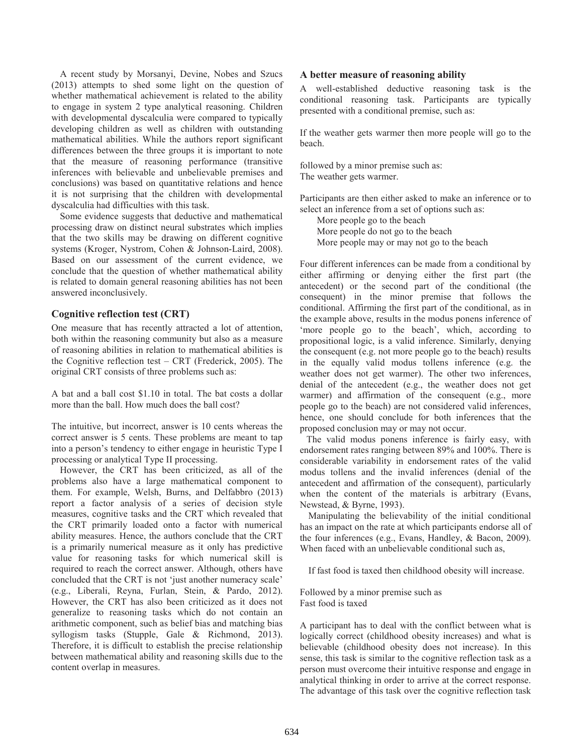A recent study by Morsanyi, Devine, Nobes and Szucs (2013) attempts to shed some light on the question of whether mathematical achievement is related to the ability to engage in system 2 type analytical reasoning. Children with developmental dyscalculia were compared to typically developing children as well as children with outstanding mathematical abilities. While the authors report significant differences between the three groups it is important to note that the measure of reasoning performance (transitive inferences with believable and unbelievable premises and conclusions) was based on quantitative relations and hence it is not surprising that the children with developmental dyscalculia had difficulties with this task.

Some evidence suggests that deductive and mathematical processing draw on distinct neural substrates which implies that the two skills may be drawing on different cognitive systems (Kroger, Nystrom, Cohen & Johnson-Laird, 2008). Based on our assessment of the current evidence, we conclude that the question of whether mathematical ability is related to domain general reasoning abilities has not been answered inconclusively.

# **Cognitive reflection test (CRT)**

One measure that has recently attracted a lot of attention, both within the reasoning community but also as a measure of reasoning abilities in relation to mathematical abilities is the Cognitive reflection test – CRT (Frederick, 2005). The original CRT consists of three problems such as:

A bat and a ball cost \$1.10 in total. The bat costs a dollar more than the ball. How much does the ball cost?

The intuitive, but incorrect, answer is 10 cents whereas the correct answer is 5 cents. These problems are meant to tap into a person's tendency to either engage in heuristic Type I processing or analytical Type II processing.

However, the CRT has been criticized, as all of the problems also have a large mathematical component to them. For example, Welsh, Burns, and Delfabbro (2013) report a factor analysis of a series of decision style measures, cognitive tasks and the CRT which revealed that the CRT primarily loaded onto a factor with numerical ability measures. Hence, the authors conclude that the CRT is a primarily numerical measure as it only has predictive value for reasoning tasks for which numerical skill is required to reach the correct answer. Although, others have concluded that the CRT is not 'just another numeracy scale' (e.g., Liberali, Reyna, Furlan, Stein, & Pardo, 2012). However, the CRT has also been criticized as it does not generalize to reasoning tasks which do not contain an arithmetic component, such as belief bias and matching bias syllogism tasks (Stupple, Gale & Richmond, 2013). Therefore, it is difficult to establish the precise relationship between mathematical ability and reasoning skills due to the content overlap in measures.

## **A better measure of reasoning ability**

A well-established deductive reasoning task is the conditional reasoning task. Participants are typically presented with a conditional premise, such as:

If the weather gets warmer then more people will go to the beach.

followed by a minor premise such as: The weather gets warmer.

Participants are then either asked to make an inference or to select an inference from a set of options such as:

More people go to the beach More people do not go to the beach More people may or may not go to the beach

Four different inferences can be made from a conditional by either affirming or denying either the first part (the antecedent) or the second part of the conditional (the consequent) in the minor premise that follows the conditional. Affirming the first part of the conditional, as in the example above, results in the modus ponens inference of 'more people go to the beach', which, according to propositional logic, is a valid inference. Similarly, denying the consequent (e.g. not more people go to the beach) results in the equally valid modus tollens inference (e.g. the weather does not get warmer). The other two inferences, denial of the antecedent (e.g., the weather does not get warmer) and affirmation of the consequent (e.g., more people go to the beach) are not considered valid inferences, hence, one should conclude for both inferences that the proposed conclusion may or may not occur.

The valid modus ponens inference is fairly easy, with endorsement rates ranging between 89% and 100%. There is considerable variability in endorsement rates of the valid modus tollens and the invalid inferences (denial of the antecedent and affirmation of the consequent), particularly when the content of the materials is arbitrary (Evans, Newstead, & Byrne, 1993).

Manipulating the believability of the initial conditional has an impact on the rate at which participants endorse all of the four inferences (e.g., Evans, Handley, & Bacon, 2009). When faced with an unbelievable conditional such as,

If fast food is taxed then childhood obesity will increase.

Followed by a minor premise such as Fast food is taxed

A participant has to deal with the conflict between what is logically correct (childhood obesity increases) and what is believable (childhood obesity does not increase). In this sense, this task is similar to the cognitive reflection task as a person must overcome their intuitive response and engage in analytical thinking in order to arrive at the correct response. The advantage of this task over the cognitive reflection task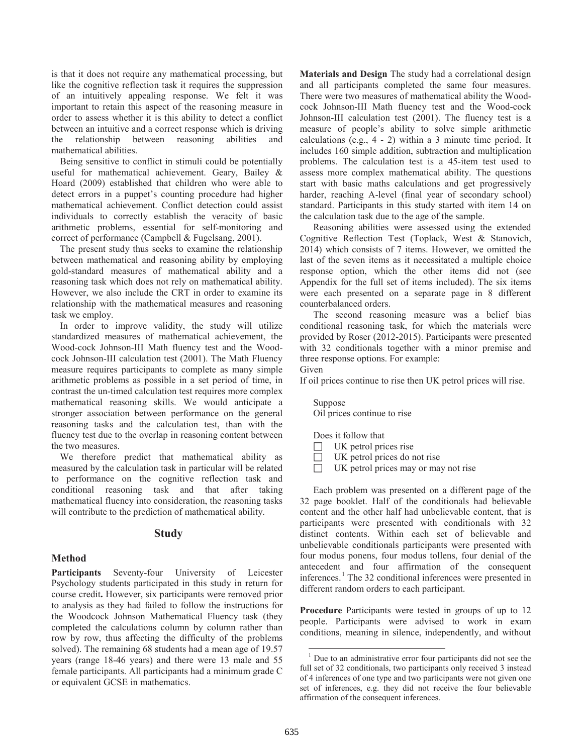is that it does not require any mathematical processing, but like the cognitive reflection task it requires the suppression of an intuitively appealing response. We felt it was important to retain this aspect of the reasoning measure in order to assess whether it is this ability to detect a conflict between an intuitive and a correct response which is driving the relationship between reasoning abilities and mathematical abilities.

Being sensitive to conflict in stimuli could be potentially useful for mathematical achievement. Geary, Bailey & Hoard (2009) established that children who were able to detect errors in a puppet's counting procedure had higher mathematical achievement. Conflict detection could assist individuals to correctly establish the veracity of basic arithmetic problems, essential for self-monitoring and correct of performance (Campbell & Fugelsang, 2001).

The present study thus seeks to examine the relationship between mathematical and reasoning ability by employing gold-standard measures of mathematical ability and a reasoning task which does not rely on mathematical ability. However, we also include the CRT in order to examine its relationship with the mathematical measures and reasoning task we employ.

In order to improve validity, the study will utilize standardized measures of mathematical achievement, the Wood-cock Johnson-III Math fluency test and the Woodcock Johnson-III calculation test (2001). The Math Fluency measure requires participants to complete as many simple arithmetic problems as possible in a set period of time, in contrast the un-timed calculation test requires more complex mathematical reasoning skills. We would anticipate a stronger association between performance on the general reasoning tasks and the calculation test, than with the fluency test due to the overlap in reasoning content between the two measures.

We therefore predict that mathematical ability as measured by the calculation task in particular will be related to performance on the cognitive reflection task and conditional reasoning task and that after taking mathematical fluency into consideration, the reasoning tasks will contribute to the prediction of mathematical ability.

## **Study**

## **Method**

**Participants** Seventy-four University of Leicester Psychology students participated in this study in return for course credit**.** However, six participants were removed prior to analysis as they had failed to follow the instructions for the Woodcock Johnson Mathematical Fluency task (they completed the calculations column by column rather than row by row, thus affecting the difficulty of the problems solved). The remaining 68 students had a mean age of 19.57 years (range 18-46 years) and there were 13 male and 55 female participants. All participants had a minimum grade C or equivalent GCSE in mathematics.

**Materials and Design** The study had a correlational design and all participants completed the same four measures. There were two measures of mathematical ability the Woodcock Johnson-III Math fluency test and the Wood-cock Johnson-III calculation test (2001). The fluency test is a measure of people's ability to solve simple arithmetic calculations (e.g., 4 - 2) within a 3 minute time period. It includes 160 simple addition, subtraction and multiplication problems. The calculation test is a 45-item test used to assess more complex mathematical ability. The questions start with basic maths calculations and get progressively harder, reaching A-level (final year of secondary school) standard. Participants in this study started with item 14 on the calculation task due to the age of the sample.

Reasoning abilities were assessed using the extended Cognitive Reflection Test (Toplack, West & Stanovich, 2014) which consists of 7 items. However, we omitted the last of the seven items as it necessitated a multiple choice response option, which the other items did not (see Appendix for the full set of items included). The six items were each presented on a separate page in 8 different counterbalanced orders.

The second reasoning measure was a belief bias conditional reasoning task, for which the materials were provided by Roser (2012-2015). Participants were presented with 32 conditionals together with a minor premise and three response options. For example:

Given

If oil prices continue to rise then UK petrol prices will rise.

Suppose Oil prices continue to rise

Does it follow that

- $\Box$  UK petrol prices rise
- $\Box$  UK petrol prices do not rise
- $\Box$  UK petrol prices may or may not rise

Each problem was presented on a different page of the 32 page booklet. Half of the conditionals had believable content and the other half had unbelievable content, that is participants were presented with conditionals with 32 distinct contents. Within each set of believable and unbelievable conditionals participants were presented with four modus ponens, four modus tollens, four denial of the antecedent and four affirmation of the consequent inferences.<sup>1</sup> The 32 conditional inferences were presented in different random orders to each participant.

**Procedure** Participants were tested in groups of up to 12 people. Participants were advised to work in exam conditions, meaning in silence, independently, and without

 $<sup>1</sup>$  Due to an administrative error four participants did not see the</sup> full set of 32 conditionals, two participants only received 3 instead of 4 inferences of one type and two participants were not given one set of inferences, e.g. they did not receive the four believable affirmation of the consequent inferences.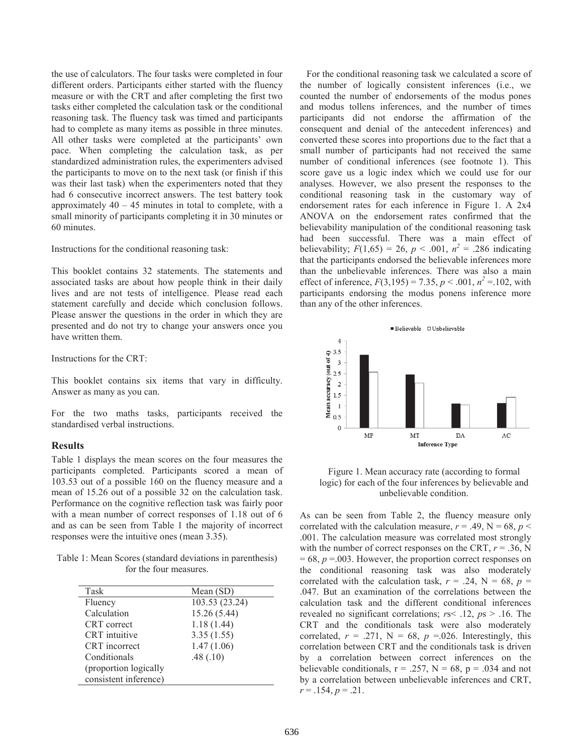the use of calculators. The four tasks were completed in four different orders. Participants either started with the fluency measure or with the CRT and after completing the first two tasks either completed the calculation task or the conditional reasoning task. The fluency task was timed and participants had to complete as many items as possible in three minutes. All other tasks were completed at the participants' own pace. When completing the calculation task, as per standardized administration rules, the experimenters advised the participants to move on to the next task (or finish if this was their last task) when the experimenters noted that they had 6 consecutive incorrect answers. The test battery took approximately  $40 - 45$  minutes in total to complete, with a small minority of participants completing it in 30 minutes or 60 minutes.

Instructions for the conditional reasoning task:

This booklet contains 32 statements. The statements and associated tasks are about how people think in their daily lives and are not tests of intelligence. Please read each statement carefully and decide which conclusion follows. Please answer the questions in the order in which they are presented and do not try to change your answers once you have written them.

Instructions for the CRT:

This booklet contains six items that vary in difficulty. Answer as many as you can.

For the two maths tasks, participants received the standardised verbal instructions.

## **Results**

Table 1 displays the mean scores on the four measures the participants completed. Participants scored a mean of 103.53 out of a possible 160 on the fluency measure and a mean of 15.26 out of a possible 32 on the calculation task. Performance on the cognitive reflection task was fairly poor with a mean number of correct responses of 1.18 out of 6 and as can be seen from Table 1 the majority of incorrect responses were the intuitive ones (mean 3.35).

| Table 1: Mean Scores (standard deviations in parenthesis) |
|-----------------------------------------------------------|
| for the four measures.                                    |

| <b>Task</b>           | Mean $(SD)$    |  |  |
|-----------------------|----------------|--|--|
| Fluency               | 103.53 (23.24) |  |  |
| Calculation           | 15.26 (5.44)   |  |  |
| <b>CRT</b> correct    | 1.18(1.44)     |  |  |
| <b>CRT</b> intuitive  | 3.35(1.55)     |  |  |
| CRT incorrect         | 1.47(1.06)     |  |  |
| Conditionals          | .48(.10)       |  |  |
| (proportion logically |                |  |  |
| consistent inference) |                |  |  |

For the conditional reasoning task we calculated a score of the number of logically consistent inferences (i.e., we counted the number of endorsements of the modus pones and modus tollens inferences, and the number of times participants did not endorse the affirmation of the consequent and denial of the antecedent inferences) and converted these scores into proportions due to the fact that a small number of participants had not received the same number of conditional inferences (see footnote 1). This score gave us a logic index which we could use for our analyses. However, we also present the responses to the conditional reasoning task in the customary way of endorsement rates for each inference in Figure 1. A 2x4 ANOVA on the endorsement rates confirmed that the believability manipulation of the conditional reasoning task had been successful. There was a main effect of believability;  $F(1,65) = 26$ ,  $p < .001$ ,  $n^2 = .286$  indicating that the participants endorsed the believable inferences more than the unbelievable inferences. There was also a main effect of inference,  $F(3,195) = 7.35$ ,  $p < .001$ ,  $n^2 = .102$ , with participants endorsing the modus ponens inference more than any of the other inferences.



Figure 1. Mean accuracy rate (according to formal logic) for each of the four inferences by believable and unbelievable condition.

As can be seen from Table 2, the fluency measure only correlated with the calculation measure,  $r = .49$ ,  $N = 68$ ,  $p <$ .001. The calculation measure was correlated most strongly with the number of correct responses on the CRT,  $r = .36$ , N  $= 68$ ,  $p = 0.003$ . However, the proportion correct responses on the conditional reasoning task was also moderately correlated with the calculation task,  $r = .24$ ,  $N = 68$ ,  $p =$ .047. But an examination of the correlations between the calculation task and the different conditional inferences revealed no significant correlations; *r*s< .12, *p*s > .16. The CRT and the conditionals task were also moderately correlated,  $r = .271$ ,  $N = 68$ ,  $p = .026$ . Interestingly, this correlation between CRT and the conditionals task is driven by a correlation between correct inferences on the believable conditionals,  $r = .257$ ,  $N = 68$ ,  $p = .034$  and not by a correlation between unbelievable inferences and CRT,  $r = .154, p = .21.$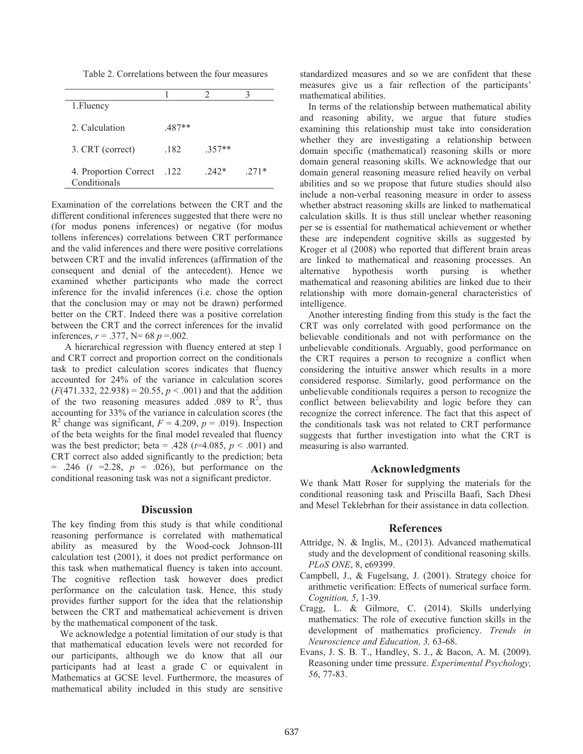Table 2. Correlations between the four measures

| 1. Fluency                            |          |          |        |
|---------------------------------------|----------|----------|--------|
| 2. Calculation                        | $.487**$ |          |        |
| 3. CRT (correct)                      | .182     | $.357**$ |        |
| 4. Proportion Correct<br>Conditionals | .122     | $242*$   | $271*$ |

Examination of the correlations between the CRT and the different conditional inferences suggested that there were no (for modus ponens inferences) or negative (for modus tollens inferences) correlations between CRT performance and the valid inferences and there were positive correlations between CRT and the invalid inferences (affirmation of the consequent and denial of the antecedent). Hence we examined whether participants who made the correct inference for the invalid inferences (i.e. chose the option that the conclusion may or may not be drawn) performed better on the CRT. Indeed there was a positive correlation between the CRT and the correct inferences for the invalid inferences, *r* = .377, N= 68 *p* =.002.

A hierarchical regression with fluency entered at step 1 and CRT correct and proportion correct on the conditionals task to predict calculation scores indicates that fluency accounted for 24% of the variance in calculation scores  $(F(471.332, 22.938) = 20.55, p < .001)$  and that the addition of the two reasoning measures added .089 to  $\mathbb{R}^2$ , thus accounting for 33% of the variance in calculation scores (the  $R^2$  change was significant,  $F = 4.209$ ,  $p = .019$ ). Inspection of the beta weights for the final model revealed that fluency was the best predictor; beta = .428 ( $t=4.085$ ,  $p < .001$ ) and CRT correct also added significantly to the prediction; beta  $= .246$  ( $t = 2.28$ ,  $p = .026$ ), but performance on the conditional reasoning task was not a significant predictor.

#### **Discussion**

The key finding from this study is that while conditional reasoning performance is correlated with mathematical ability as measured by the Wood-cock Johnson-III calculation test (2001), it does not predict performance on this task when mathematical fluency is taken into account. The cognitive reflection task however does predict performance on the calculation task. Hence, this study provides further support for the idea that the relationship between the CRT and mathematical achievement is driven by the mathematical component of the task.

We acknowledge a potential limitation of our study is that that mathematical education levels were not recorded for our participants, although we do know that all our participants had at least a grade C or equivalent in Mathematics at GCSE level. Furthermore, the measures of mathematical ability included in this study are sensitive

standardized measures and so we are confident that these measures give us a fair reflection of the participants' mathematical abilities.

In terms of the relationship between mathematical ability and reasoning ability, we argue that future studies examining this relationship must take into consideration whether they are investigating a relationship between domain specific (mathematical) reasoning skills or more domain general reasoning skills. We acknowledge that our domain general reasoning measure relied heavily on verbal abilities and so we propose that future studies should also include a non-verbal reasoning measure in order to assess whether abstract reasoning skills are linked to mathematical calculation skills. It is thus still unclear whether reasoning per se is essential for mathematical achievement or whether these are independent cognitive skills as suggested by Kroger et al (2008) who reported that different brain areas are linked to mathematical and reasoning processes. An alternative hypothesis worth pursing is whether mathematical and reasoning abilities are linked due to their relationship with more domain-general characteristics of intelligence.

Another interesting finding from this study is the fact the CRT was only correlated with good performance on the believable conditionals and not with performance on the unbelievable conditionals. Arguably, good performance on the CRT requires a person to recognize a conflict when considering the intuitive answer which results in a more considered response. Similarly, good performance on the unbelievable conditionals requires a person to recognize the conflict between believability and logic before they can recognize the correct inference. The fact that this aspect of the conditionals task was not related to CRT performance suggests that further investigation into what the CRT is measuring is also warranted.

#### **Acknowledgments**

We thank Matt Roser for supplying the materials for the conditional reasoning task and Priscilla Baafi, Sach Dhesi and Mesel Teklebrhan for their assistance in data collection.

#### **References**

- Attridge, N. & Inglis, M., (2013). Advanced mathematical study and the development of conditional reasoning skills. *PLoS ONE*, 8, e69399.
- Campbell, J., & Fugelsang, J. (2001). Strategy choice for arithmetic verification: Effects of numerical surface form. *Cognition, 5*, 1-39.
- Cragg, L. & Gilmore, C. (2014). Skills underlying mathematics: The role of executive function skills in the development of mathematics proficiency. *Trends in Neuroscience and Education, 3,* 63-68.
- Evans, J. S. B. T., Handley, S. J., & Bacon, A. M. (2009). Reasoning under time pressure. *Experimental Psychology, 56*, 77-83.